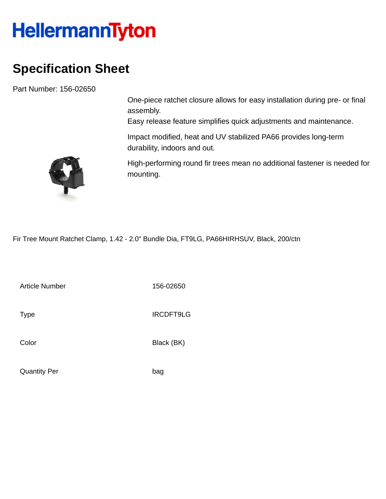## **HellermannTyton**

## **Specification Sheet**

Part Number: 156-02650

One-piece ratchet closure allows for easy installation during pre- or final assembly.

Easy release feature simplifies quick adjustments and maintenance.

Impact modified, heat and UV stabilized PA66 provides long-term durability, indoors and out.

High-performing round fir trees mean no additional fastener is needed for mounting.

Fir Tree Mount Ratchet Clamp, 1.42 - 2.0" Bundle Dia, FT9LG, PA66HIRHSUV, Black, 200/ctn

Article Number 156-02650

Type IRCDFT9LG

Color Black (BK)

Quantity Per bag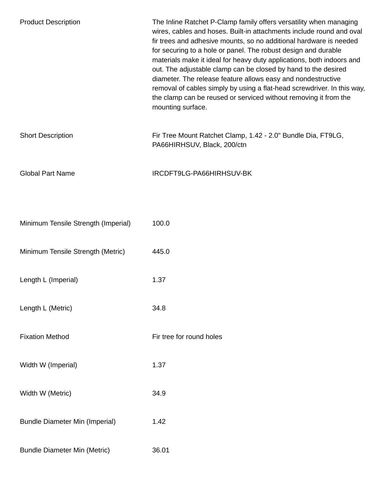| <b>Product Description</b>            | The Inline Ratchet P-Clamp family offers versatility when managing<br>wires, cables and hoses. Built-in attachments include round and oval<br>fir trees and adhesive mounts, so no additional hardware is needed<br>for securing to a hole or panel. The robust design and durable<br>materials make it ideal for heavy duty applications, both indoors and<br>out. The adjustable clamp can be closed by hand to the desired<br>diameter. The release feature allows easy and nondestructive<br>removal of cables simply by using a flat-head screwdriver. In this way,<br>the clamp can be reused or serviced without removing it from the<br>mounting surface. |
|---------------------------------------|-------------------------------------------------------------------------------------------------------------------------------------------------------------------------------------------------------------------------------------------------------------------------------------------------------------------------------------------------------------------------------------------------------------------------------------------------------------------------------------------------------------------------------------------------------------------------------------------------------------------------------------------------------------------|
| <b>Short Description</b>              | Fir Tree Mount Ratchet Clamp, 1.42 - 2.0" Bundle Dia, FT9LG,<br>PA66HIRHSUV, Black, 200/ctn                                                                                                                                                                                                                                                                                                                                                                                                                                                                                                                                                                       |
| <b>Global Part Name</b>               | IRCDFT9LG-PA66HIRHSUV-BK                                                                                                                                                                                                                                                                                                                                                                                                                                                                                                                                                                                                                                          |
|                                       |                                                                                                                                                                                                                                                                                                                                                                                                                                                                                                                                                                                                                                                                   |
| Minimum Tensile Strength (Imperial)   | 100.0                                                                                                                                                                                                                                                                                                                                                                                                                                                                                                                                                                                                                                                             |
| Minimum Tensile Strength (Metric)     | 445.0                                                                                                                                                                                                                                                                                                                                                                                                                                                                                                                                                                                                                                                             |
| Length L (Imperial)                   | 1.37                                                                                                                                                                                                                                                                                                                                                                                                                                                                                                                                                                                                                                                              |
| Length L (Metric)                     | 34.8                                                                                                                                                                                                                                                                                                                                                                                                                                                                                                                                                                                                                                                              |
| <b>Fixation Method</b>                | Fir tree for round holes                                                                                                                                                                                                                                                                                                                                                                                                                                                                                                                                                                                                                                          |
| Width W (Imperial)                    | 1.37                                                                                                                                                                                                                                                                                                                                                                                                                                                                                                                                                                                                                                                              |
| Width W (Metric)                      | 34.9                                                                                                                                                                                                                                                                                                                                                                                                                                                                                                                                                                                                                                                              |
| <b>Bundle Diameter Min (Imperial)</b> | 1.42                                                                                                                                                                                                                                                                                                                                                                                                                                                                                                                                                                                                                                                              |
| <b>Bundle Diameter Min (Metric)</b>   | 36.01                                                                                                                                                                                                                                                                                                                                                                                                                                                                                                                                                                                                                                                             |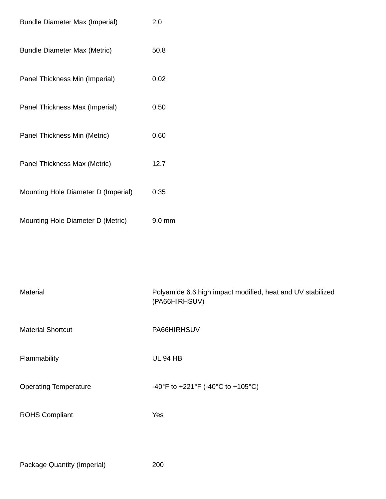| <b>Bundle Diameter Max (Imperial)</b> | 2.0    |
|---------------------------------------|--------|
| <b>Bundle Diameter Max (Metric)</b>   | 50.8   |
| Panel Thickness Min (Imperial)        | 0.02   |
| Panel Thickness Max (Imperial)        | 0.50   |
| Panel Thickness Min (Metric)          | 0.60   |
| Panel Thickness Max (Metric)          | 12.7   |
| Mounting Hole Diameter D (Imperial)   | 0.35   |
| Mounting Hole Diameter D (Metric)     | 9.0 mm |

| Material                     | Polyamide 6.6 high impact modified, heat and UV stabilized<br>(PA66HIRHSUV) |
|------------------------------|-----------------------------------------------------------------------------|
| <b>Material Shortcut</b>     | PA66HIRHSUV                                                                 |
| Flammability                 | <b>UL 94 HB</b>                                                             |
| <b>Operating Temperature</b> | -40°F to +221°F (-40°C to +105°C)                                           |
| <b>ROHS Compliant</b>        | Yes                                                                         |
|                              |                                                                             |

Package Quantity (Imperial) 200